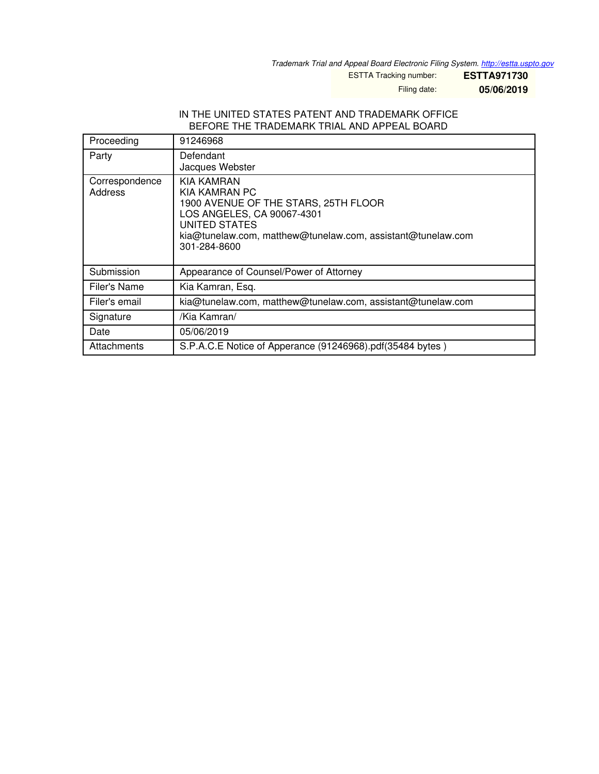*Trademark Trial and Appeal Board Electronic Filing System. <http://estta.uspto.gov>*

ESTTA Tracking number: **ESTTA971730**

Filing date: **05/06/2019**

#### IN THE UNITED STATES PATENT AND TRADEMARK OFFICE BEFORE THE TRADEMARK TRIAL AND APPEAL BOARD

| Proceeding                | 91246968                                                                                                                                                                                          |
|---------------------------|---------------------------------------------------------------------------------------------------------------------------------------------------------------------------------------------------|
| Party                     | Defendant<br>Jacques Webster                                                                                                                                                                      |
| Correspondence<br>Address | KIA KAMRAN<br>KIA KAMRAN PC<br>1900 AVENUE OF THE STARS, 25TH FLOOR<br>LOS ANGELES, CA 90067-4301<br>UNITED STATES<br>kia@tunelaw.com, matthew@tunelaw.com, assistant@tunelaw.com<br>301-284-8600 |
| Submission                | Appearance of Counsel/Power of Attorney                                                                                                                                                           |
| Filer's Name              | Kia Kamran, Esq.                                                                                                                                                                                  |
| Filer's email             | kia@tunelaw.com, matthew@tunelaw.com, assistant@tunelaw.com                                                                                                                                       |
| Signature                 | /Kia Kamran/                                                                                                                                                                                      |
| Date                      | 05/06/2019                                                                                                                                                                                        |
| Attachments               | S.P.A.C.E Notice of Apperance (91246968).pdf(35484 bytes)                                                                                                                                         |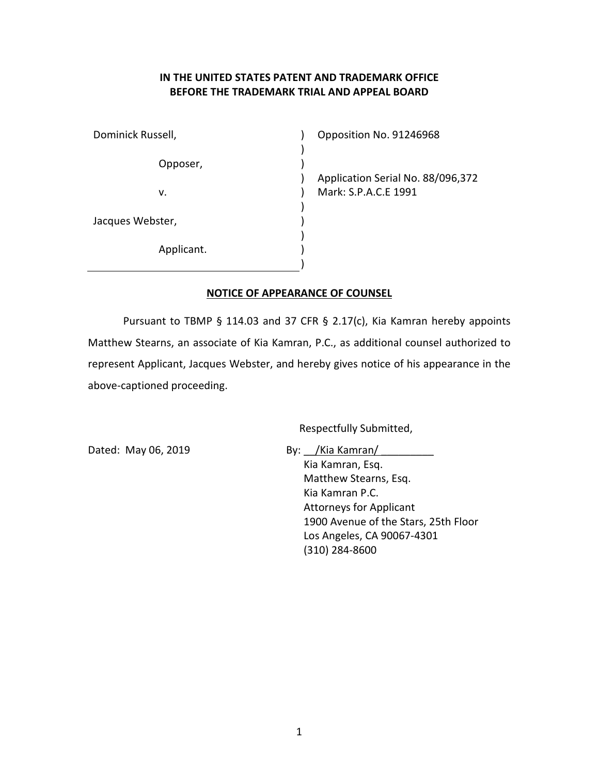# IN THE UNITED STATES PATENT AND TRADEMARK OFFICE BEFORE THE TRADEMARK TRIAL AND APPEAL BOARD

| Dominick Russell, | Opposition No         |
|-------------------|-----------------------|
| Opposer,          |                       |
|                   | <b>Application Se</b> |
| v.                | Mark: S.P.A.C         |
|                   |                       |
| Jacques Webster,  |                       |
|                   |                       |
| Applicant.        |                       |
|                   |                       |

o. 91246968

erial No. 88/096,372 S.E 1991

### NOTICE OF APPEARANCE OF COUNSEL

Pursuant to TBMP § 114.03 and 37 CFR § 2.17(c), Kia Kamran hereby appoints Matthew Stearns, an associate of Kia Kamran, P.C., as additional counsel authorized to represent Applicant, Jacques Webster, and hereby gives notice of his appearance in the above-captioned proceeding.

Respectfully Submitted,

Dated: May 06, 2019 By: /Kia Kamran/

Kia Kamran, Esq. Matthew Stearns, Esq. Kia Kamran P.C. Attorneys for Applicant 1900 Avenue of the Stars, 25th Floor Los Angeles, CA 90067-4301 (310) 284-8600